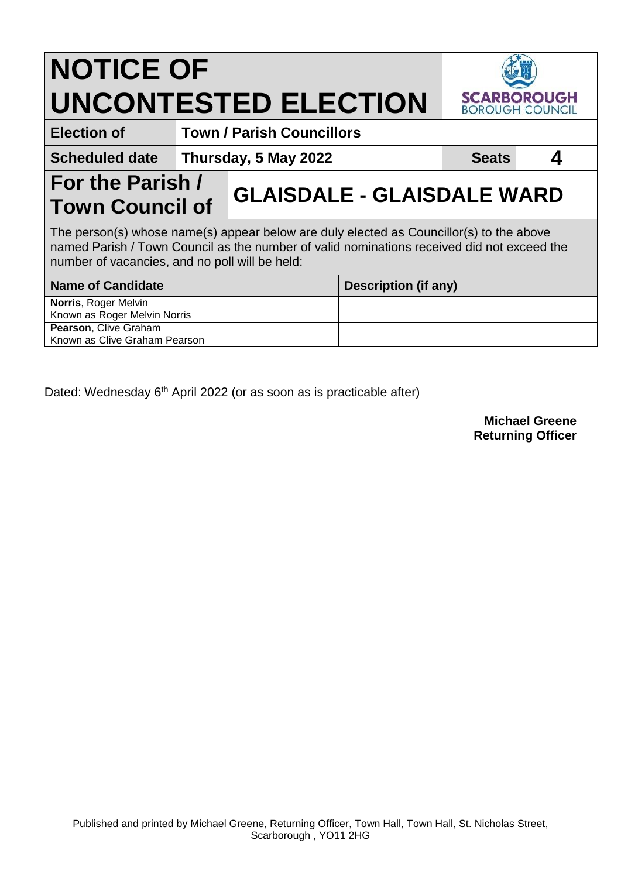## **NOTICE OF UNCONTESTED ELECTION**



**Election of Town / Parish Councillors**

**Scheduled date** Thursday, 5 May 2022 **Arrivge Control Control Control Control Control Control Control Control Control Control Control Control Control Control Control Control Control Control Control Control Control Control** 

**For the Parish /** 

**Town Council of GLAISDALE - GLAISDALE WARD**

The person(s) whose name(s) appear below are duly elected as Councillor(s) to the above named Parish / Town Council as the number of valid nominations received did not exceed the number of vacancies, and no poll will be held:

| <b>Name of Candidate</b>      | Description (if any) |
|-------------------------------|----------------------|
| <b>Norris, Roger Melvin</b>   |                      |
| Known as Roger Melvin Norris  |                      |
| <b>Pearson, Clive Graham</b>  |                      |
| Known as Clive Graham Pearson |                      |

Dated: Wednesday 6<sup>th</sup> April 2022 (or as soon as is practicable after)

**Michael Greene Returning Officer**